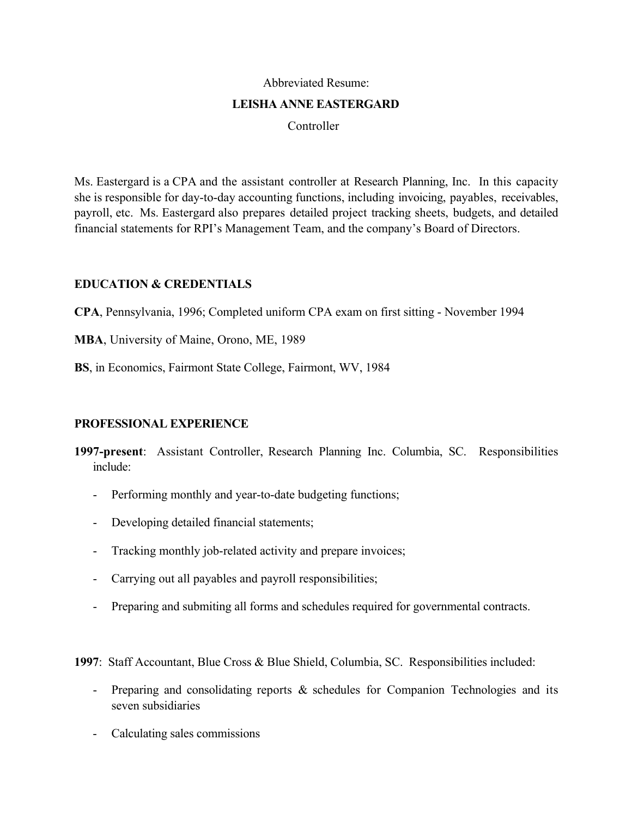#### Abbreviated Resume:

#### **LEISHA ANNE EASTERGARD**

Controller

Ms. Eastergard is a CPA and the assistant controller at Research Planning, Inc. In this capacity she is responsible for day-to-day accounting functions, including invoicing, payables, receivables, payroll, etc. Ms. Eastergard also prepares detailed project tracking sheets, budgets, and detailed financial statements for RPI's Management Team, and the company's Board of Directors.

# **EDUCATION & CREDENTIALS**

**CPA**, Pennsylvania, 1996; Completed uniform CPA exam on first sitting - November 1994

**MBA**, University of Maine, Orono, ME, 1989

**BS**, in Economics, Fairmont State College, Fairmont, WV, 1984

### **PROFESSIONAL EXPERIENCE**

- **1997-present**: Assistant Controller, Research Planning Inc. Columbia, SC. Responsibilities include:
	- Performing monthly and year-to-date budgeting functions;
	- Developing detailed financial statements;
	- Tracking monthly job-related activity and prepare invoices;
	- Carrying out all payables and payroll responsibilities;
	- Preparing and submiting all forms and schedules required for governmental contracts.

**1997**: Staff Accountant, Blue Cross & Blue Shield, Columbia, SC. Responsibilities included:

- Preparing and consolidating reports & schedules for Companion Technologies and its seven subsidiaries
- Calculating sales commissions